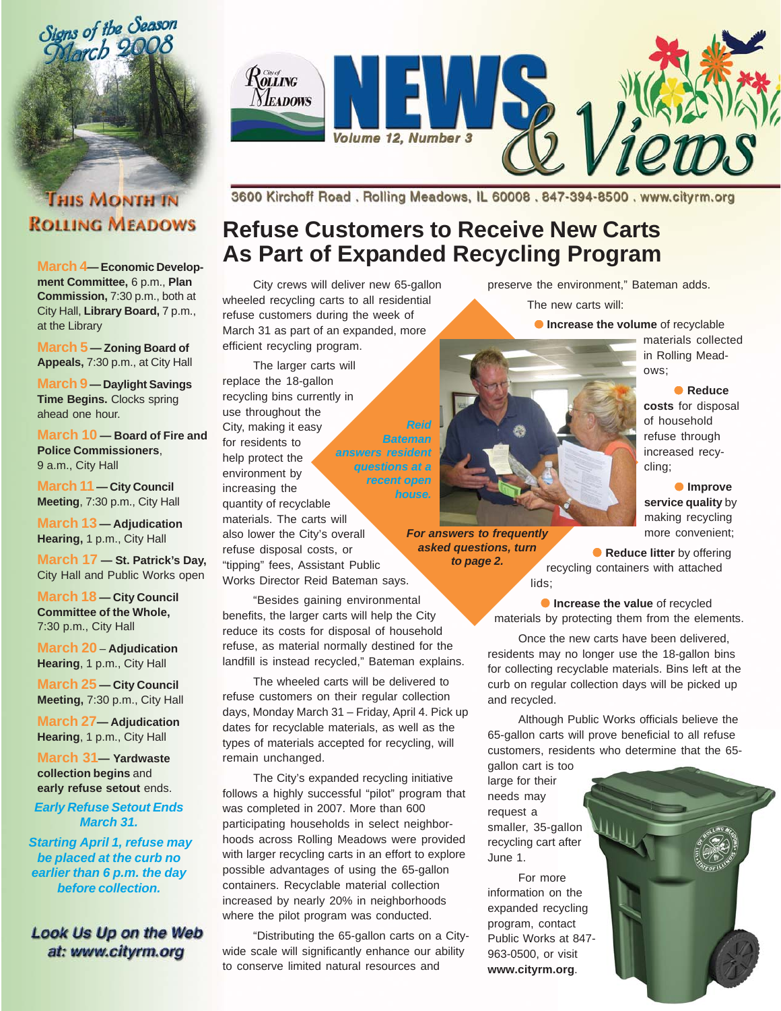

# **THIS MONTH IN ROLLING MEADOWS**

**March 4— Economic Development Committee,** 6 p.m., **Plan Commission,** 7:30 p.m., both at City Hall, **Library Board,** 7 p.m., at the Library

**March 5 — Zoning Board of Appeals,** 7:30 p.m., at City Hall

**March 9 — Daylight Savings Time Begins.** Clocks spring ahead one hour.

**March 10 — Board of Fire and Police Commissioners**, 9 a.m., City Hall

**March 11 — City Council Meeting**, 7:30 p.m., City Hall

**March 13 — Adjudication Hearing,** 1 p.m., City Hall

**March 17 — St. Patrick's Day,** City Hall and Public Works open

**March 18 — City Council Committee of the Whole,** 7:30 p.m., City Hall

**March 20** – **Adjudication Hearing**, 1 p.m., City Hall

**March 25 — City Council Meeting,** 7:30 p.m., City Hall

**March 27— Adjudication Hearing**, 1 p.m., City Hall

**March 31— Yardwaste collection begins** and **early refuse setout** ends.

*Early Refuse Setout Ends March 31.*

 *Starting April 1, refuse may be placed at the curb no earlier than 6 p.m. the day before collection.*

## **Look Us Up on the Web** at: www.cityrm.org



3600 Kirchoff Road. Rolling Meadows, IL 60008. 847-394-8500. www.cityrm.org

# **Refuse Customers to Receive New Carts As Part of Expanded Recycling Program**

*Reid*

*house.*

City crews will deliver new 65-gallon wheeled recycling carts to all residential refuse customers during the week of March 31 as part of an expanded, more efficient recycling program.

The larger carts will replace the 18-gallon recycling bins currently in use throughout the City, making it easy for residents to help protect the environment by increasing the quantity of recyclable materials. The carts will also lower the City's overall refuse disposal costs, or "tipping" fees, Assistant Public Works Director Reid Bateman says. *Bateman answers resident questions at a recent open*

"Besides gaining environmental benefits, the larger carts will help the City reduce its costs for disposal of household refuse, as material normally destined for the landfill is instead recycled," Bateman explains.

The wheeled carts will be delivered to refuse customers on their regular collection days, Monday March 31 – Friday, April 4. Pick up dates for recyclable materials, as well as the types of materials accepted for recycling, will remain unchanged.

The City's expanded recycling initiative follows a highly successful "pilot" program that was completed in 2007. More than 600 participating households in select neighborhoods across Rolling Meadows were provided with larger recycling carts in an effort to explore possible advantages of using the 65-gallon containers. Recyclable material collection increased by nearly 20% in neighborhoods where the pilot program was conducted.

"Distributing the 65-gallon carts on a Citywide scale will significantly enhance our ability to conserve limited natural resources and

preserve the environment," Bateman adds.

The new carts will:

**• Increase the volume** of recyclable

ows;

cling;

materials collected in Rolling Mead-

● **Reduce costs** for disposal of household refuse through increased recy-

● **Improve service quality** by making recycling more convenient;



*For answers to frequently asked questions, turn*

*to page 2.*

**• Reduce litter** by offering recycling containers with attached lids;

**• Increase the value** of recycled materials by protecting them from the elements.

Once the new carts have been delivered, residents may no longer use the 18-gallon bins for collecting recyclable materials. Bins left at the curb on regular collection days will be picked up and recycled.

Although Public Works officials believe the 65-gallon carts will prove beneficial to all refuse customers, residents who determine that the 65-

gallon cart is too large for their needs may request a smaller, 35-gallon recycling cart after June 1.

For more information on the expanded recycling program, contact Public Works at 847- 963-0500, or visit **www.cityrm.org**.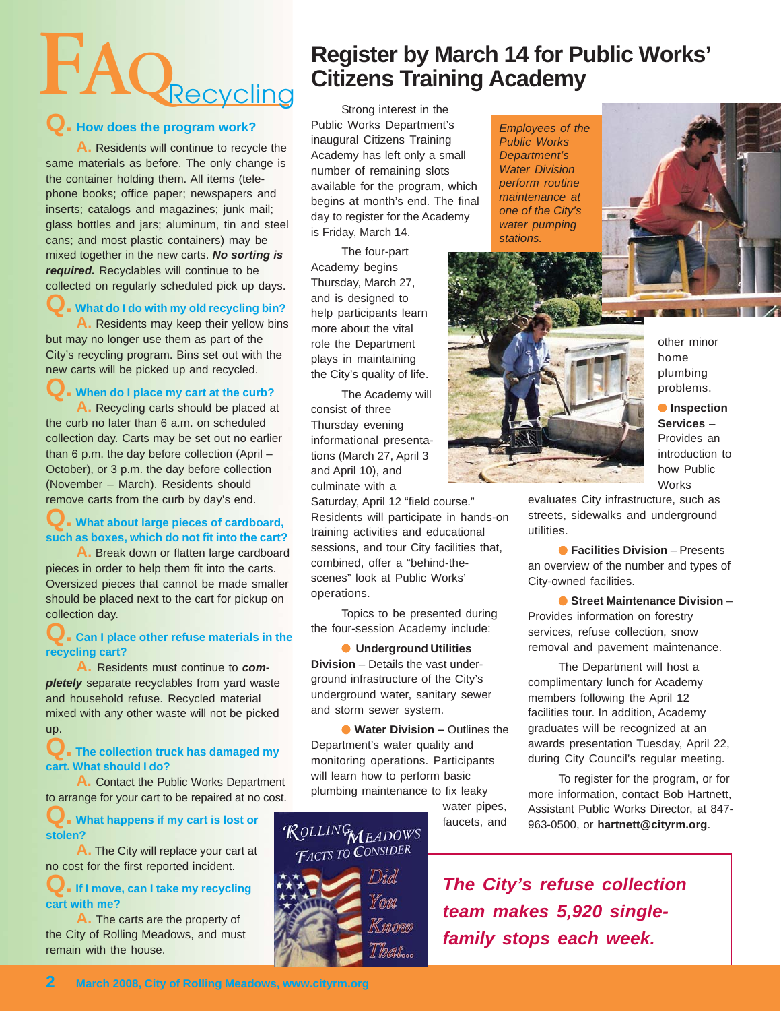# **FAQ**Recycling Citizens Train

#### **Q. How does the program work?**

**A.** Residents will continue to recycle the same materials as before. The only change is the container holding them. All items (telephone books; office paper; newspapers and inserts; catalogs and magazines; junk mail; glass bottles and jars; aluminum, tin and steel cans; and most plastic containers) may be mixed together in the new carts. *No sorting is required.* Recyclables will continue to be collected on regularly scheduled pick up days.

## **What do I do with my old recycling bin?**

**A.** Residents may keep their yellow bins but may no longer use them as part of the City's recycling program. Bins set out with the new carts will be picked up and recycled.

#### **When do I place my cart at the curb?**

**A.** Recycling carts should be placed at the curb no later than 6 a.m. on scheduled collection day. Carts may be set out no earlier than 6 p.m. the day before collection (April – October), or 3 p.m. the day before collection (November – March). Residents should remove carts from the curb by day's end.

#### **Q. What about large pieces of cardboard, such as boxes, which do not fit into the cart?**

**A.** Break down or flatten large cardboard pieces in order to help them fit into the carts. Oversized pieces that cannot be made smaller should be placed next to the cart for pickup on collection day.

#### **Q.** Can I place other refuse materials in the **recycling cart?**

**A.** Residents must continue to *completely* separate recyclables from yard waste and household refuse. Recycled material mixed with any other waste will not be picked up.

#### **Q. The collection truck has damaged my cart. What should I do?**

**A.** Contact the Public Works Department to arrange for your cart to be repaired at no cost.

#### **Q. What happens if my cart is lost or stolen?**

**A.** The City will replace your cart at no cost for the first reported incident.

#### **a** If I move, can I take my recycling **cart with me?**

**A.** The carts are the property of the City of Rolling Meadows, and must remain with the house.

# **Register by March 14 for Public Works' Citizens Training Academy**

Public Works Department's inaugural Citizens Training Academy has left only a small number of remaining slots available for the program, which begins at month's end. The final day to register for the Academy is Friday, March 14.

The four-part Academy begins Thursday, March 27, and is designed to help participants learn more about the vital role the Department plays in maintaining the City's quality of life.

The Academy will consist of three Thursday evening informational presentations (March 27, April 3 and April 10), and culminate with a

Saturday, April 12 "field course." Residents will participate in hands-on training activities and educational sessions, and tour City facilities that, combined, offer a "behind-thescenes" look at Public Works' operations.

Topics to be presented during the four-session Academy include:

● **Underground Utilities Division** – Details the vast underground infrastructure of the City's underground water, sanitary sewer and storm sewer system.

● **Water Division –** Outlines the Department's water quality and monitoring operations. Participants will learn how to perform basic plumbing maintenance to fix leaky

> water pipes, faucets, and



*Employees of the Public Works Department's Water Division perform routine maintenance at one of the City's water pumping stations.*





other minor home plumbing problems.

● **Inspection Services** – Provides an introduction to how Public Works

evaluates City infrastructure, such as streets, sidewalks and underground utilities.

● **Facilities Division** – Presents an overview of the number and types of City-owned facilities.

● **Street Maintenance Division** – Provides information on forestry services, refuse collection, snow removal and pavement maintenance.

The Department will host a complimentary lunch for Academy members following the April 12 facilities tour. In addition, Academy graduates will be recognized at an awards presentation Tuesday, April 22, during City Council's regular meeting.

To register for the program, or for more information, contact Bob Hartnett, Assistant Public Works Director, at 847- 963-0500, or **hartnett@cityrm.org**.

*The City's refuse collection team makes 5,920 singlefamily stops each week.*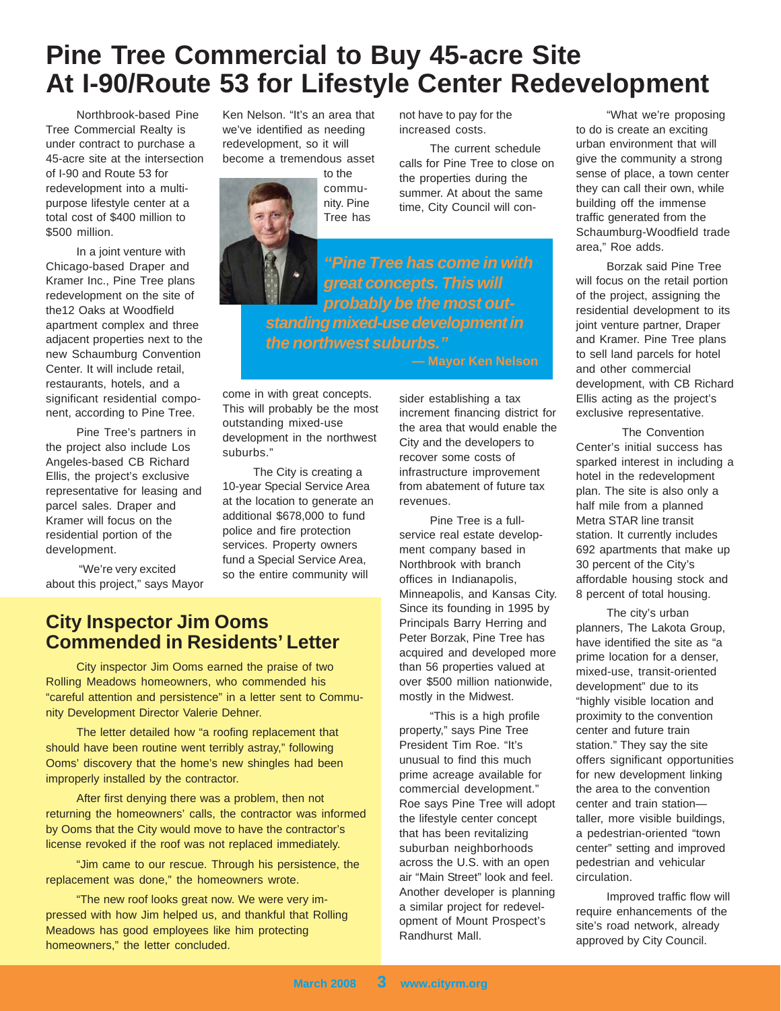# **Pine Tree Commercial to Buy 45-acre Site At I-90/Route 53 for Lifestyle Center Redevelopment**

Northbrook-based Pine Tree Commercial Realty is under contract to purchase a 45-acre site at the intersection of I-90 and Route 53 for redevelopment into a multipurpose lifestyle center at a total cost of \$400 million to \$500 million.

In a joint venture with Chicago-based Draper and Kramer Inc., Pine Tree plans redevelopment on the site of the12 Oaks at Woodfield apartment complex and three adjacent properties next to the new Schaumburg Convention Center. It will include retail, restaurants, hotels, and a significant residential component, according to Pine Tree.

Pine Tree's partners in the project also include Los Angeles-based CB Richard Ellis, the project's exclusive representative for leasing and parcel sales. Draper and Kramer will focus on the residential portion of the development.

 "We're very excited about this project," says Mayor Ken Nelson. "It's an area that we've identified as needing redevelopment, so it will become a tremendous asset





not have to pay for the increased costs.

The current schedule calls for Pine Tree to close on the properties during the summer. At about the same time, City Council will con-

*"Pine Tree has come in with great concepts. This will probably be the most outstanding mixed-use development in the northwest suburbs."*

come in with great concepts. This will probably be the most outstanding mixed-use development in the northwest suburbs."

The City is creating a 10-year Special Service Area at the location to generate an additional \$678,000 to fund police and fire protection services. Property owners fund a Special Service Area, so the entire community will

sider establishing a tax increment financing district for the area that would enable the City and the developers to recover some costs of infrastructure improvement from abatement of future tax revenues.

Pine Tree is a fullservice real estate development company based in Northbrook with branch offices in Indianapolis, Minneapolis, and Kansas City. Since its founding in 1995 by Principals Barry Herring and Peter Borzak, Pine Tree has acquired and developed more than 56 properties valued at over \$500 million nationwide, mostly in the Midwest.

"This is a high profile property," says Pine Tree President Tim Roe. "It's unusual to find this much prime acreage available for commercial development." Roe says Pine Tree will adopt the lifestyle center concept that has been revitalizing suburban neighborhoods across the U.S. with an open air "Main Street" look and feel. Another developer is planning a similar project for redevelopment of Mount Prospect's Randhurst Mall.

"What we're proposing to do is create an exciting urban environment that will give the community a strong sense of place, a town center they can call their own, while building off the immense traffic generated from the Schaumburg-Woodfield trade area," Roe adds.

Borzak said Pine Tree will focus on the retail portion of the project, assigning the residential development to its joint venture partner, Draper and Kramer. Pine Tree plans to sell land parcels for hotel and other commercial development, with CB Richard Ellis acting as the project's exclusive representative.

The Convention Center's initial success has sparked interest in including a hotel in the redevelopment plan. The site is also only a half mile from a planned Metra STAR line transit station. It currently includes 692 apartments that make up 30 percent of the City's affordable housing stock and 8 percent of total housing.

The city's urban planners, The Lakota Group, have identified the site as "a prime location for a denser, mixed-use, transit-oriented development" due to its "highly visible location and proximity to the convention center and future train station." They say the site offers significant opportunities for new development linking the area to the convention center and train station taller, more visible buildings, a pedestrian-oriented "town center" setting and improved pedestrian and vehicular circulation.

Improved traffic flow will require enhancements of the site's road network, already approved by City Council.

## **City Inspector Jim Ooms Commended in Residents' Letter**

City inspector Jim Ooms earned the praise of two Rolling Meadows homeowners, who commended his "careful attention and persistence" in a letter sent to Community Development Director Valerie Dehner.

The letter detailed how "a roofing replacement that should have been routine went terribly astray," following Ooms' discovery that the home's new shingles had been improperly installed by the contractor.

After first denying there was a problem, then not returning the homeowners' calls, the contractor was informed by Ooms that the City would move to have the contractor's license revoked if the roof was not replaced immediately.

"Jim came to our rescue. Through his persistence, the replacement was done," the homeowners wrote.

"The new roof looks great now. We were very impressed with how Jim helped us, and thankful that Rolling Meadows has good employees like him protecting homeowners," the letter concluded.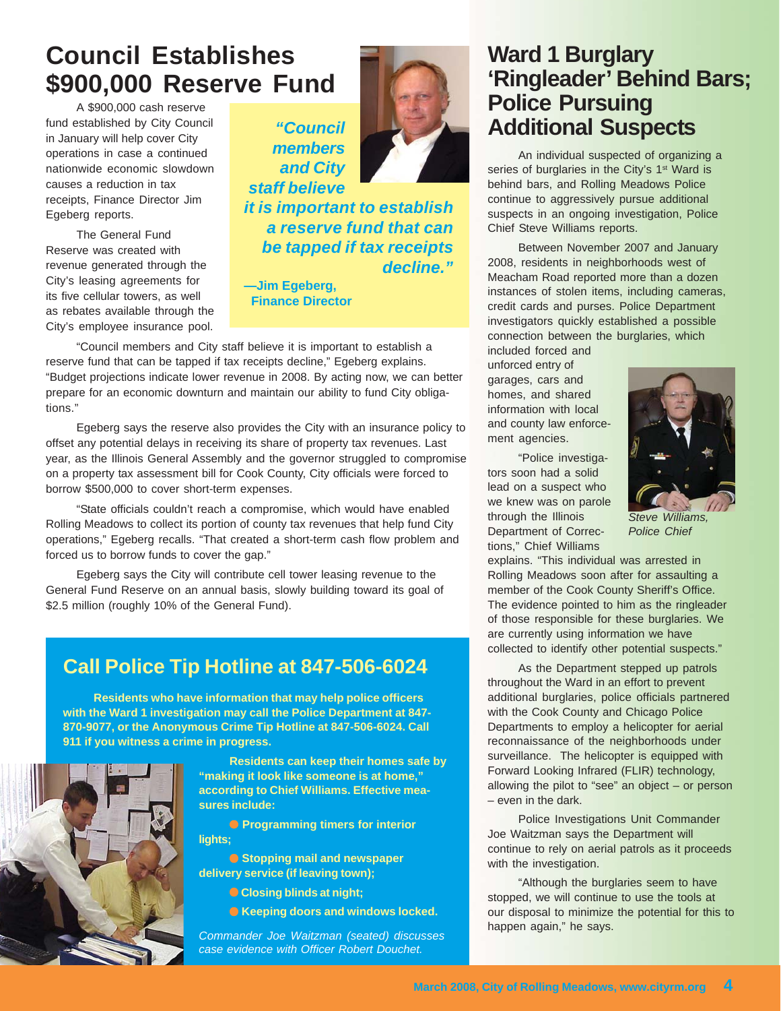# **Council Establishes \$900,000 Reserve Fund**

A \$900,000 cash reserve fund established by City Council in January will help cover City operations in case a continued nationwide economic slowdown causes a reduction in tax receipts, Finance Director Jim Egeberg reports.

The General Fund Reserve was created with revenue generated through the City's leasing agreements for its five cellular towers, as well as rebates available through the City's employee insurance pool.





*it is important to establish a reserve fund that can be tapped if tax receipts decline."*

**—Jim Egeberg, Finance Director**

"Council members and City staff believe it is important to establish a reserve fund that can be tapped if tax receipts decline," Egeberg explains. "Budget projections indicate lower revenue in 2008. By acting now, we can better prepare for an economic downturn and maintain our ability to fund City obligations."

Egeberg says the reserve also provides the City with an insurance policy to offset any potential delays in receiving its share of property tax revenues. Last year, as the Illinois General Assembly and the governor struggled to compromise on a property tax assessment bill for Cook County, City officials were forced to borrow \$500,000 to cover short-term expenses.

"State officials couldn't reach a compromise, which would have enabled Rolling Meadows to collect its portion of county tax revenues that help fund City operations," Egeberg recalls. "That created a short-term cash flow problem and forced us to borrow funds to cover the gap."

Egeberg says the City will contribute cell tower leasing revenue to the General Fund Reserve on an annual basis, slowly building toward its goal of \$2.5 million (roughly 10% of the General Fund).

# **Call Police Tip Hotline at 847-506-6024**

**Residents who have information that may help police officers with the Ward 1 investigation may call the Police Department at 847- 870-9077, or the Anonymous Crime Tip Hotline at 847-506-6024. Call 911 if you witness a crime in progress.**



**Residents can keep their homes safe by "making it look like someone is at home," according to Chief Williams. Effective measures include:**

● **Programming timers for interior lights;**

● **Stopping mail and newspaper delivery service (if leaving town);**

- ● **Closing blinds at night;**
- **Keeping doors and windows locked.**

*Commander Joe Waitzman (seated) discusses case evidence with Officer Robert Douchet.*

# **Ward 1 Burglary 'Ringleader' Behind Bars; Police Pursuing Additional Suspects**

An individual suspected of organizing a series of burglaries in the City's 1<sup>st</sup> Ward is behind bars, and Rolling Meadows Police continue to aggressively pursue additional suspects in an ongoing investigation, Police Chief Steve Williams reports.

Between November 2007 and January 2008, residents in neighborhoods west of Meacham Road reported more than a dozen instances of stolen items, including cameras, credit cards and purses. Police Department investigators quickly established a possible connection between the burglaries, which

included forced and unforced entry of garages, cars and homes, and shared information with local and county law enforcement agencies.

"Police investigators soon had a solid lead on a suspect who we knew was on parole through the Illinois Department of Corrections," Chief Williams



*Steve Williams, Police Chief*

explains. "This individual was arrested in Rolling Meadows soon after for assaulting a member of the Cook County Sheriff's Office. The evidence pointed to him as the ringleader of those responsible for these burglaries. We are currently using information we have collected to identify other potential suspects."

As the Department stepped up patrols throughout the Ward in an effort to prevent additional burglaries, police officials partnered with the Cook County and Chicago Police Departments to employ a helicopter for aerial reconnaissance of the neighborhoods under surveillance. The helicopter is equipped with Forward Looking Infrared (FLIR) technology, allowing the pilot to "see" an object – or person – even in the dark.

Police Investigations Unit Commander Joe Waitzman says the Department will continue to rely on aerial patrols as it proceeds with the investigation.

"Although the burglaries seem to have stopped, we will continue to use the tools at our disposal to minimize the potential for this to happen again," he says.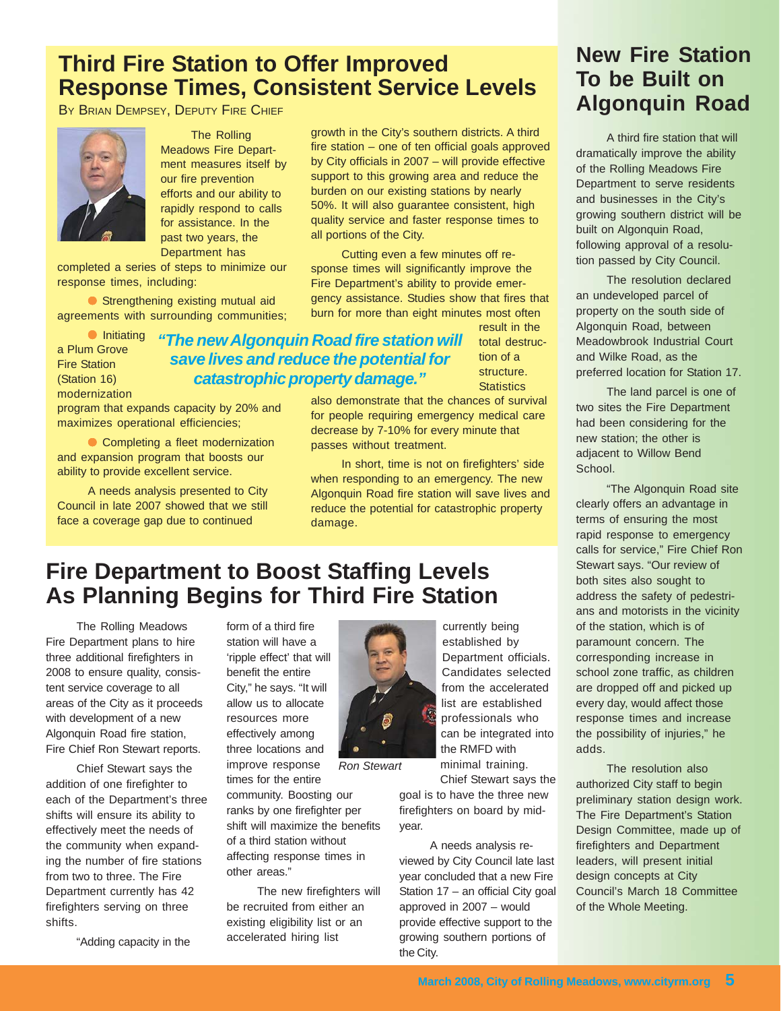# **Third Fire Station to Offer Improved Response Times, Consistent Service Levels**

BY BRIAN DEMPSEY, DEPUTY FIRE CHIEF



The Rolling Meadows Fire Department measures itself by our fire prevention efforts and our ability to rapidly respond to calls for assistance. In the past two years, the Department has

completed a series of steps to minimize our response times, including:

● Strengthening existing mutual aid agreements with surrounding communities;

● Initiating a Plum Grove Fire Station (Station 16) modernization

## result in the *"The new Algonquin Road fire station will save lives and reduce the potential for catastrophic property damage."*

all portions of the City.

total destruction of a structure. **Statistics** 

program that expands capacity by 20% and maximizes operational efficiencies;

● Completing a fleet modernization and expansion program that boosts our ability to provide excellent service.

A needs analysis presented to City Council in late 2007 showed that we still face a coverage gap due to continued

also demonstrate that the chances of survival for people requiring emergency medical care decrease by 7-10% for every minute that passes without treatment.

growth in the City's southern districts. A third fire station – one of ten official goals approved by City officials in 2007 – will provide effective support to this growing area and reduce the burden on our existing stations by nearly 50%. It will also guarantee consistent, high quality service and faster response times to

Cutting even a few minutes off response times will significantly improve the Fire Department's ability to provide emergency assistance. Studies show that fires that burn for more than eight minutes most often

In short, time is not on firefighters' side when responding to an emergency. The new Algonquin Road fire station will save lives and reduce the potential for catastrophic property damage.

# **Fire Department to Boost Staffing Levels As Planning Begins for Third Fire Station**

The Rolling Meadows Fire Department plans to hire three additional firefighters in 2008 to ensure quality, consistent service coverage to all areas of the City as it proceeds with development of a new Algonquin Road fire station, Fire Chief Ron Stewart reports.

Chief Stewart says the addition of one firefighter to each of the Department's three shifts will ensure its ability to effectively meet the needs of the community when expanding the number of fire stations from two to three. The Fire Department currently has 42 firefighters serving on three shifts.

"Adding capacity in the

form of a third fire station will have a 'ripple effect' that will benefit the entire City," he says. "It will allow us to allocate resources more effectively among three locations and improve response

times for the entire community. Boosting our ranks by one firefighter per shift will maximize the benefits of a third station without affecting response times in other areas."

*Ron Stewart*

The new firefighters will be recruited from either an existing eligibility list or an accelerated hiring list

currently being established by Department officials. Candidates selected from the accelerated list are established professionals who can be integrated into the RMFD with minimal training. Chief Stewart says the

goal is to have the three new firefighters on board by midyear.

A needs analysis reviewed by City Council late last year concluded that a new Fire Station 17 – an official City goal approved in 2007 – would provide effective support to the growing southern portions of the City.

# **New Fire Station To be Built on Algonquin Road**

A third fire station that will dramatically improve the ability of the Rolling Meadows Fire Department to serve residents and businesses in the City's growing southern district will be built on Algonquin Road, following approval of a resolution passed by City Council.

The resolution declared an undeveloped parcel of property on the south side of Algonquin Road, between Meadowbrook Industrial Court and Wilke Road, as the preferred location for Station 17.

The land parcel is one of two sites the Fire Department had been considering for the new station; the other is adjacent to Willow Bend School.

"The Algonquin Road site clearly offers an advantage in terms of ensuring the most rapid response to emergency calls for service," Fire Chief Ron Stewart says. "Our review of both sites also sought to address the safety of pedestrians and motorists in the vicinity of the station, which is of paramount concern. The corresponding increase in school zone traffic, as children are dropped off and picked up every day, would affect those response times and increase the possibility of injuries," he adds.

The resolution also authorized City staff to begin preliminary station design work. The Fire Department's Station Design Committee, made up of firefighters and Department leaders, will present initial design concepts at City Council's March 18 Committee of the Whole Meeting.

**March 2008, City of Rolling Meadows, www.cityrm.org 5**